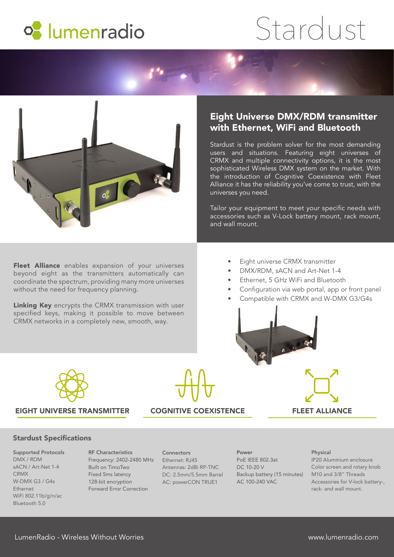

# Stardust



# Eight Universe DMX/RDM transmitter with Ethernet, WiFi and Bluetooth

Stardust is the problem solver for the most demanding users and situations. Featuring eight universes of CRMX and multiple connectivity options, it is the most sophisticated Wireless DMX system on the market. With the introduction of Cognitive Coexistence with Fleet Alliance it has the reliability you've come to trust, with the universes you need.

Tailor your equipment to meet your specific needs with accessories such as V-Lock battery mount, rack mount, and wall mount.

Fleet Alliance enables expansion of your universes beyond eight as the transmitters automatically can coordinate the spectrum, providing many more universes without the need for frequency planning.

Linking Key encrypts the CRMX transmission with user specified keys, making it possible to move between CRMX networks in a completely new, smooth, way.

- Eight universe CRMX transmitter
- DMX/RDM, sACN and Art-Net 1-4
- Ethernet, 5 GHz WiFi and Bluetooth
- Configuration via web portal, app or front panel
- Compatible with CRMX and W-DMX G3/G4s





# EIGHT UNIVERSE TRANSMITTER COGNITIVE COEXISTENCE FLEET ALLIANCE

# Stardust Specifications

Supported Protocols DMX / RDM sACN / Art-Net 1-4 CRMX W-DMX G3 / G4s Ethernet WiFi 802.11b/g/n/ac Bluetooth 5.0

RF Characteristics Frequency: 2402-2480 MHz Built on TimoTwo Fixed 5ms latency 128-bit encryption Forward Error Correction

**Connectors** Ethernet: RJ45 Antennas: 2dBi RP-TNC DC: 2.5mm/5.5mm Barrel AC: powerCON TRUE1

Power PoE IEEE 802.3at DC 10-20 V Backup battery (15 minutes) M10 and 3/8" Threads AC 100-240 VAC

### Physical

IP20 Aluminium enclosure Color screen and rotary knob Accessories for V-lock battery-, rack- and wall mount.